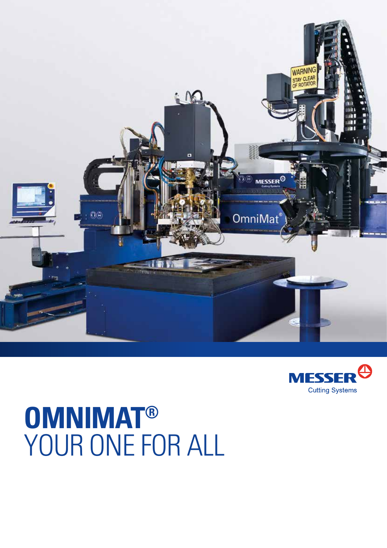



## **OmniMaT®** YOUR ONE FOR ALL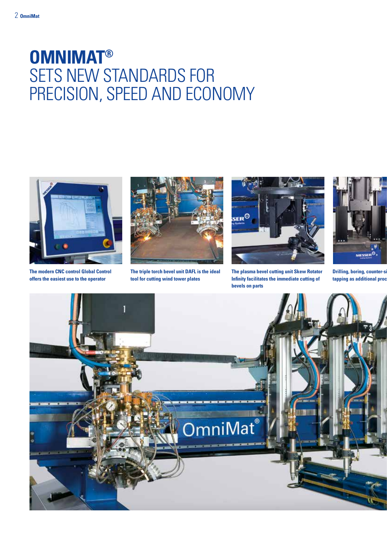## **OMNIMAT®**  SETS NEW STANDARDS FOR PRECISION, SPEED AND ECONOMY



**The modern CNC control Global Control offers the easiest use to the operator**



**The triple torch bevel unit DAFL is the ideal tool for cutting wind tower plates**



**The plasma bevel cutting unit Skew Rotator Infinity facilitates the immediate cutting of bevels on parts**



**Drilling, boring, counter-s tapping as additional procession** 

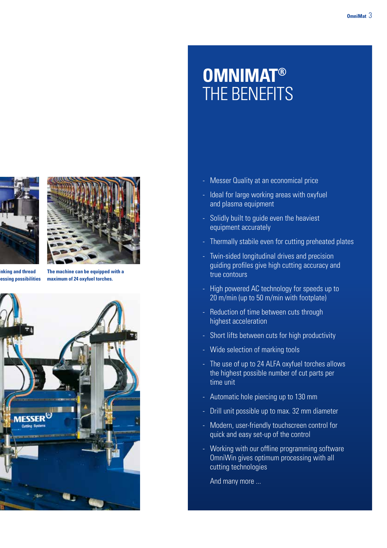

**Drilling and thread table 3** as a possibilities



**The machine can be equipped with a maximum of 24 oxyfuel torches.**



## **OMNIMAT®<br>THE BENEFITS**

- Messer Quality at an economical price
- Ideal for large working areas with oxyfuel and plasma equipment
- Solidly built to guide even the heaviest equipment accurately
- Thermally stabile even for cutting preheated plates
- Twin-sided longitudinal drives and precision guiding profiles give high cutting accuracy and true contours
- High powered AC technology for speeds up to 20 m/min (up to 50 m/min with footplate)
- Reduction of time between cuts through highest acceleration
- Short lifts between cuts for high productivity
- Wide selection of marking tools
- The use of up to 24 ALFA oxyfuel torches allows the highest possible number of cut parts per time unit
- Automatic hole piercing up to 130 mm
- Drill unit possible up to max. 32 mm diameter
- Modern, user-friendly touchscreen control for quick and easy set-up of the control
- Working with our offline programming software OmniWin gives optimum processing with all cutting technologies

And many more ...